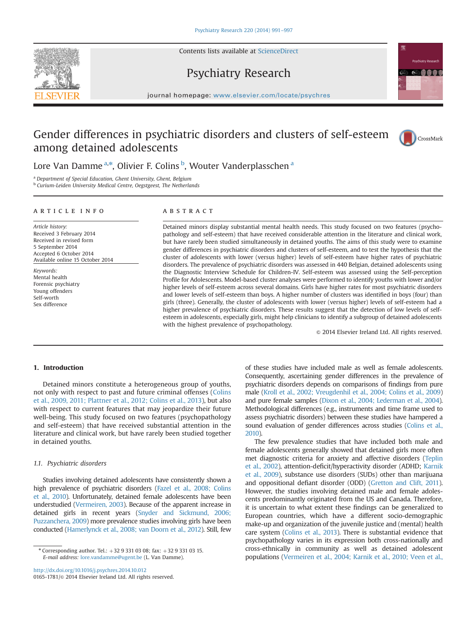Contents lists available at [ScienceDirect](www.sciencedirect.com/science/journal/01651781)



### journal homepage: <www.elsevier.com/locate/psychres>

Psychiatry Research

## Gender differences in psychiatric disorders and clusters of self-esteem among detained adolescents



Lore Van Damme <sup>a,\*</sup>, Olivier F. Colins <sup>b</sup>, Wouter Vanderplasschen <sup>a</sup>

<sup>a</sup> Department of Special Education, Ghent University, Ghent, Belgium

<sup>b</sup> Curium-Leiden University Medical Centre, Oegstgeest, The Netherlands

#### article info

Article history: Received 3 February 2014 Received in revised form 5 September 2014 Accepted 6 October 2014 Available online 15 October 2014

Keywords: Mental health Forensic psychiatry Young offenders Self-worth Sex difference

### **ABSTRACT**

Detained minors display substantial mental health needs. This study focused on two features (psychopathology and self-esteem) that have received considerable attention in the literature and clinical work, but have rarely been studied simultaneously in detained youths. The aims of this study were to examine gender differences in psychiatric disorders and clusters of self-esteem, and to test the hypothesis that the cluster of adolescents with lower (versus higher) levels of self-esteem have higher rates of psychiatric disorders. The prevalence of psychiatric disorders was assessed in 440 Belgian, detained adolescents using the Diagnostic Interview Schedule for Children-IV. Self-esteem was assessed using the Self-perception Profile for Adolescents. Model-based cluster analyses were performed to identify youths with lower and/or higher levels of self-esteem across several domains. Girls have higher rates for most psychiatric disorders and lower levels of self-esteem than boys. A higher number of clusters was identified in boys (four) than girls (three). Generally, the cluster of adolescents with lower (versus higher) levels of self-esteem had a higher prevalence of psychiatric disorders. These results suggest that the detection of low levels of selfesteem in adolescents, especially girls, might help clinicians to identify a subgroup of detained adolescents with the highest prevalence of psychopathology.

 $©$  2014 Elsevier Ireland Ltd. All rights reserved.

#### 1. Introduction

Detained minors constitute a heterogeneous group of youths, not only with respect to past and future criminal offenses (Colins et al., 2009, 2011; Plattner et al., 2012; Colins et al., 2013), but also with respect to current features that may jeopardize their future well-being. This study focused on two features (psychopathology and self-esteem) that have received substantial attention in the literature and clinical work, but have rarely been studied together in detained youths.

#### 1.1. Psychiatric disorders

Studies involving detained adolescents have consistently shown a high prevalence of psychiatric disorders (Fazel et al., 2008; Colins et al., 2010). Unfortunately, detained female adolescents have been understudied (Vermeiren, 2003). Because of the apparent increase in detained girls in recent years (Snyder and Sickmund, 2006; Puzzanchera, 2009) more prevalence studies involving girls have been conducted (Hamerlynck et al., 2008; van Doorn et al., 2012). Still, few

\* Corresponding author. Tel.:  $+3293310308$ ; fax:  $+3293310315$ . E-mail address: [lore.vandamme@ugent.be](mailto:lore.vandamme@ugent.be) (L. Van Damme).

<http://dx.doi.org/10.1016/j.psychres.2014.10.012> 0165-1781/© 2014 Elsevier Ireland Ltd. All rights reserved. of these studies have included male as well as female adolescents. Consequently, ascertaining gender differences in the prevalence of psychiatric disorders depends on comparisons of findings from pure male (Kroll et al., 2002; Vreugdenhil et al., 2004; Colins et al., 2009) and pure female samples (Dixon et al., 2004; Lederman et al., 2004). Methodological differences (e.g., instruments and time frame used to assess psychiatric disorders) between these studies have hampered a sound evaluation of gender differences across studies (Colins et al., 2010).

The few prevalence studies that have included both male and female adolescents generally showed that detained girls more often met diagnostic criteria for anxiety and affective disorders (Teplin et al., 2002), attention-deficit/hyperactivity disorder (ADHD; Karnik et al., 2009), substance use disorders (SUDs) other than marijuana and oppositional defiant disorder (ODD) (Gretton and Clift, 2011). However, the studies involving detained male and female adolescents predominantly originated from the US and Canada. Therefore, it is uncertain to what extent these findings can be generalized to European countries, which have a different socio-demographic make-up and organization of the juvenile justice and (mental) health care system (Colins et al., 2013). There is substantial evidence that psychopathology varies in its expression both cross-nationally and cross-ethnically in community as well as detained adolescent populations (Vermeiren et al., 2004; Karnik et al., 2010; Veen et al.,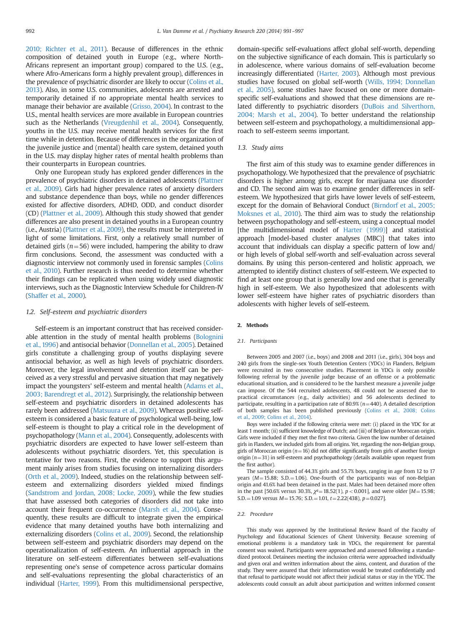2010; Richter et al., 2011). Because of differences in the ethnic composition of detained youth in Europe (e.g., where North-Africans represent an important group) compared to the U.S. (e.g., where Afro-Americans form a highly prevalent group), differences in the prevalence of psychiatric disorder are likely to occur (Colins et al., 2013). Also, in some U.S. communities, adolescents are arrested and temporarily detained if no appropriate mental health services to manage their behavior are available (Grisso, 2004). In contrast to the U.S., mental health services are more available in European countries such as the Netherlands (Vreugdenhil et al., 2004). Consequently, youths in the U.S. may receive mental health services for the first time while in detention. Because of differences in the organization of the juvenile justice and (mental) health care system, detained youth in the U.S. may display higher rates of mental health problems than their counterparts in European countries.

Only one European study has explored gender differences in the prevalence of psychiatric disorders in detained adolescents (Plattner et al., 2009). Girls had higher prevalence rates of anxiety disorders and substance dependence than boys, while no gender differences existed for affective disorders, ADHD, ODD, and conduct disorder (CD) (Plattner et al., 2009). Although this study showed that gender differences are also present in detained youths in a European country (i.e., Austria) (Plattner et al., 2009), the results must be interpreted in light of some limitations. First, only a relatively small number of detained girls ( $n=56$ ) were included, hampering the ability to draw firm conclusions. Second, the assessment was conducted with a diagnostic interview not commonly used in forensic samples (Colins et al., 2010). Further research is thus needed to determine whether their findings can be replicated when using widely used diagnostic interviews, such as the Diagnostic Interview Schedule for Children-IV (Shaffer et al., 2000).

#### 1.2. Self-esteem and psychiatric disorders

Self-esteem is an important construct that has received considerable attention in the study of mental health problems (Bolognini et al., 1996) and antisocial behavior (Donnellan et al., 2005). Detained girls constitute a challenging group of youths displaying severe antisocial behavior, as well as high levels of psychiatric disorders. Moreover, the legal involvement and detention itself can be perceived as a very stressful and pervasive situation that may negatively impact the youngsters' self-esteem and mental health (Adams et al., 2003; Barendregt et al., 2012). Surprisingly, the relationship between self-esteem and psychiatric disorders in detained adolescents has rarely been addressed (Matsuura et al., 2009). Whereas positive selfesteem is considered a basic feature of psychological well-being, low self-esteem is thought to play a critical role in the development of psychopathology (Mann et al., 2004). Consequently, adolescents with psychiatric disorders are expected to have lower self-esteem than adolescents without psychiatric disorders. Yet, this speculation is tentative for two reasons. First, the evidence to support this argument mainly arises from studies focusing on internalizing disorders (Orth et al., 2009). Indeed, studies on the relationship between selfesteem and externalizing disorders yielded mixed findings (Sandstrom and Jordan, 2008; Locke, 2009), while the few studies that have assessed both categories of disorders did not take into account their frequent co-occurrence (Marsh et al., 2004). Consequently, these results are difficult to integrate given the empirical evidence that many detained youths have both internalizing and externalizing disorders (Colins et al., 2009). Second, the relationship between self-esteem and psychiatric disorders may depend on the operationalization of self-esteem. An influential approach in the literature on self-esteem differentiates between self-evaluations representing one's sense of competence across particular domains and self-evaluations representing the global characteristics of an individual (Harter, 1999). From this multidimensional perspective, domain-specific self-evaluations affect global self-worth, depending on the subjective significance of each domain. This is particularly so in adolescence, where various domains of self-evaluation become increasingly differentiated (Harter, 2003). Although most previous studies have focused on global self-worth (Wills, 1994; Donnellan et al., 2005), some studies have focused on one or more domainspecific self-evaluations and showed that these dimensions are related differently to psychiatric disorders (DuBois and Silverthorn, 2004; Marsh et al., 2004). To better understand the relationship between self-esteem and psychopathology, a multidimensional approach to self-esteem seems important.

#### 1.3. Study aims

The first aim of this study was to examine gender differences in psychopathology. We hypothesized that the prevalence of psychiatric disorders is higher among girls, except for marijuana use disorder and CD. The second aim was to examine gender differences in selfesteem. We hypothesized that girls have lower levels of self-esteem, except for the domain of Behavioral Conduct (Birndorf et al., 2005; Moksnes et al., 2010). The third aim was to study the relationship between psychopathology and self-esteem, using a conceptual model [the multidimensional model of Harter (1999)] and statistical approach [model-based cluster analyses (MBC)] that takes into account that individuals can display a specific pattern of low and/ or high levels of global self-worth and self-evaluation across several domains. By using this person-centered and holistic approach, we attempted to identify distinct clusters of self-esteem. We expected to find at least one group that is generally low and one that is generally high in self-esteem. We also hypothesized that adolescents with lower self-esteem have higher rates of psychiatric disorders than adolescents with higher levels of self-esteem.

#### 2. Methods

#### 2.1. Participants

Between 2005 and 2007 (i.e., boys) and 2008 and 2011 (i.e., girls), 304 boys and 240 girls from the single-sex Youth Detention Centers (YDCs) in Flanders, Belgium were recruited in two consecutive studies. Placement in YDCs is only possible following referral by the juvenile judge because of an offense or a problematic educational situation, and is considered to be the harshest measure a juvenile judge can impose. Of the 544 recruited adolescents, 48 could not be assessed due to practical circumstances (e.g., daily activities) and 56 adolescents declined to participate, resulting in a participation rate of 80.9% ( $n=440$ ). A detailed description of both samples has been published previously (Colins et al., 2008; Colins et al., 2009; Colins et al., 2014).

Boys were included if the following criteria were met: (i) placed in the YDC for at least 1 month; (ii) sufficient knowledge of Dutch; and (iii) of Belgian or Moroccan origin. Girls were included if they met the first two criteria. Given the low number of detained girls in Flanders, we included girls from all origins. Yet, regarding the non-Belgian group, girls of Moroccan origin ( $n=16$ ) did not differ significantly from girls of another foreign origin  $(n=31)$  in self-esteem and psychopathology (details available upon request from the first author).

The sample consisted of 44.3% girls and 55.7% boys, ranging in age from 12 to 17 years ( $M=15.88$ ; S.D. $=1.06$ ). One-fourth of the participants was of non-Belgian origin and 41.6% had been detained in the past. Males had been detained more often in the past [50.6% versus 30.3%,  $\chi^2 = 18.52(1)$ , p < 0.001], and were older [M = 15.98; S.D. = 1.09 versus  $M = 15.76$ ; S.D. = 1.01,  $t = 2.22(438)$ ,  $p = 0.027$ ].

#### 2.2. Procedure

This study was approved by the Institutional Review Board of the Faculty of Psychology and Educational Sciences of Ghent University. Because screening of emotional problems is a mandatory task in YDCs, the requirement for parental consent was waived. Participants were approached and assessed following a standardized protocol. Detainees meeting the inclusion criteria were approached individually and given oral and written information about the aims, content, and duration of the study. They were assured that their information would be treated confidentially and that refusal to participate would not affect their judicial status or stay in the YDC. The adolescents could consult an adult about participation and written informed consent